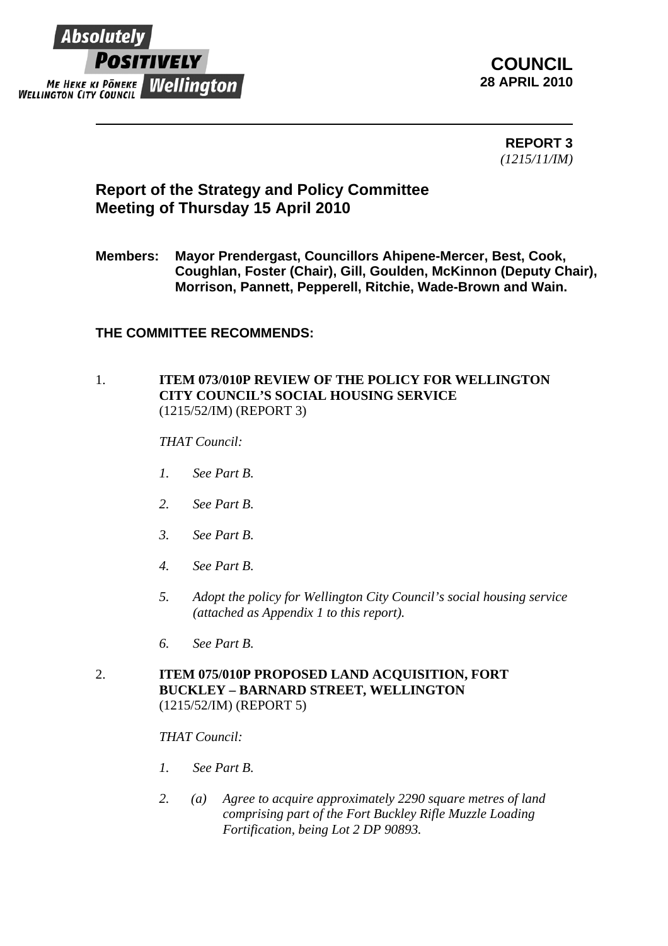

**COUNCIL 28 APRIL 2010**

> **REPORT 3**  *(1215/11/IM)*

# **Report of the Strategy and Policy Committee Meeting of Thursday 15 April 2010**

**Members: Mayor Prendergast, Councillors Ahipene-Mercer, Best, Cook, Coughlan, Foster (Chair), Gill, Goulden, McKinnon (Deputy Chair), Morrison, Pannett, Pepperell, Ritchie, Wade-Brown and Wain.** 

## **THE COMMITTEE RECOMMENDS:**

## 1. **ITEM 073/010P REVIEW OF THE POLICY FOR WELLINGTON CITY COUNCIL'S SOCIAL HOUSING SERVICE**  (1215/52/IM) (REPORT 3)

## *THAT Council:*

- *1. See Part B.*
- *2. See Part B.*
- *3. See Part B.*
- *4. See Part B.*
- *5. Adopt the policy for Wellington City Council's social housing service (attached as Appendix 1 to this report).*
- *6. See Part B.*
- 2. **ITEM 075/010P PROPOSED LAND ACQUISITION, FORT BUCKLEY – BARNARD STREET, WELLINGTON** (1215/52/IM) (REPORT 5)

#### *THAT Council:*

- *1. See Part B.*
- *2. (a) Agree to acquire approximately 2290 square metres of land comprising part of the Fort Buckley Rifle Muzzle Loading Fortification, being Lot 2 DP 90893.*